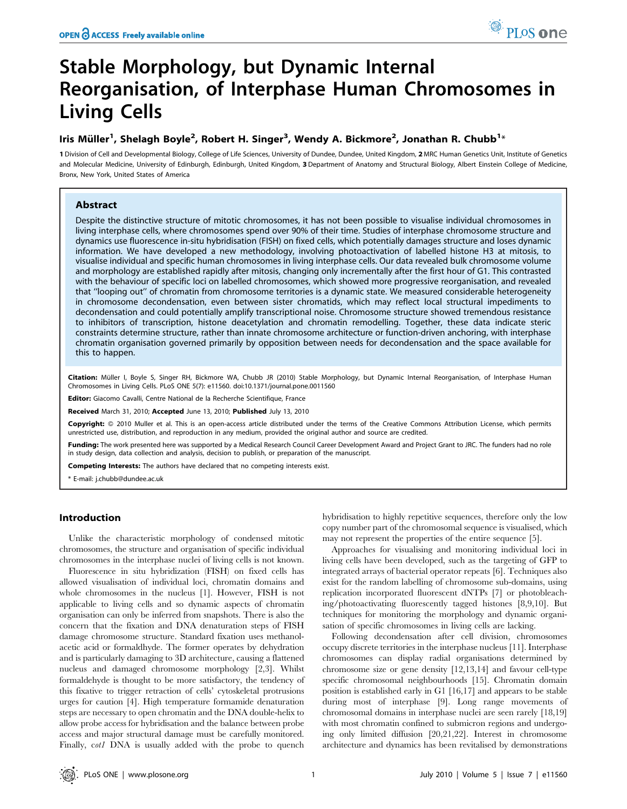# Stable Morphology, but Dynamic Internal Reorganisation, of Interphase Human Chromosomes in Living Cells

# lris Müller<sup>1</sup>, Shelagh Boyle<sup>2</sup>, Robert H. Singer<sup>3</sup>, Wendy A. Bickmore<sup>2</sup>, Jonathan R. Chubb<sup>1</sup>\*

1 Division of Cell and Developmental Biology, College of Life Sciences, University of Dundee, Dundee, United Kingdom, 2 MRC Human Genetics Unit, Institute of Genetics and Molecular Medicine, University of Edinburgh, Edinburgh, United Kingdom, 3 Department of Anatomy and Structural Biology, Albert Einstein College of Medicine, Bronx, New York, United States of America

# Abstract

Despite the distinctive structure of mitotic chromosomes, it has not been possible to visualise individual chromosomes in living interphase cells, where chromosomes spend over 90% of their time. Studies of interphase chromosome structure and dynamics use fluorescence in-situ hybridisation (FISH) on fixed cells, which potentially damages structure and loses dynamic information. We have developed a new methodology, involving photoactivation of labelled histone H3 at mitosis, to visualise individual and specific human chromosomes in living interphase cells. Our data revealed bulk chromosome volume and morphology are established rapidly after mitosis, changing only incrementally after the first hour of G1. This contrasted with the behaviour of specific loci on labelled chromosomes, which showed more progressive reorganisation, and revealed that ''looping out'' of chromatin from chromosome territories is a dynamic state. We measured considerable heterogeneity in chromosome decondensation, even between sister chromatids, which may reflect local structural impediments to decondensation and could potentially amplify transcriptional noise. Chromosome structure showed tremendous resistance to inhibitors of transcription, histone deacetylation and chromatin remodelling. Together, these data indicate steric constraints determine structure, rather than innate chromosome architecture or function-driven anchoring, with interphase chromatin organisation governed primarily by opposition between needs for decondensation and the space available for this to happen.

Citation: Müller I, Boyle S, Singer RH, Bickmore WA, Chubb JR (2010) Stable Morphology, but Dynamic Internal Reorganisation, of Interphase Human Chromosomes in Living Cells. PLoS ONE 5(7): e11560. doi:10.1371/journal.pone.0011560

Editor: Giacomo Cavalli, Centre National de la Recherche Scientifique, France

Received March 31, 2010; Accepted June 13, 2010; Published July 13, 2010

Copyright: © 2010 Muller et al. This is an open-access article distributed under the terms of the Creative Commons Attribution License, which permits unrestricted use, distribution, and reproduction in any medium, provided the original author and source are credited.

Funding: The work presented here was supported by a Medical Research Council Career Development Award and Project Grant to JRC. The funders had no role in study design, data collection and analysis, decision to publish, or preparation of the manuscript.

Competing Interests: The authors have declared that no competing interests exist.

\* E-mail: j.chubb@dundee.ac.uk

# Introduction

Unlike the characteristic morphology of condensed mitotic chromosomes, the structure and organisation of specific individual chromosomes in the interphase nuclei of living cells is not known.

Fluorescence in situ hybridization (FISH) on fixed cells has allowed visualisation of individual loci, chromatin domains and whole chromosomes in the nucleus [1]. However, FISH is not applicable to living cells and so dynamic aspects of chromatin organisation can only be inferred from snapshots. There is also the concern that the fixation and DNA denaturation steps of FISH damage chromosome structure. Standard fixation uses methanolacetic acid or formaldhyde. The former operates by dehydration and is particularly damaging to 3D architecture, causing a flattened nucleus and damaged chromosome morphology [2,3]. Whilst formaldehyde is thought to be more satisfactory, the tendency of this fixative to trigger retraction of cells' cytoskeletal protrusions urges for caution [4]. High temperature formamide denaturation steps are necessary to open chromatin and the DNA double-helix to allow probe access for hybridisation and the balance between probe access and major structural damage must be carefully monitored. Finally,  $cot1$  DNA is usually added with the probe to quench

hybridisation to highly repetitive sequences, therefore only the low copy number part of the chromosomal sequence is visualised, which may not represent the properties of the entire sequence [5].

Approaches for visualising and monitoring individual loci in living cells have been developed, such as the targeting of GFP to integrated arrays of bacterial operator repeats [6]. Techniques also exist for the random labelling of chromosome sub-domains, using replication incorporated fluorescent dNTPs [7] or photobleaching/photoactivating fluorescently tagged histones [8,9,10]. But techniques for monitoring the morphology and dynamic organisation of specific chromosomes in living cells are lacking.

Following decondensation after cell division, chromosomes occupy discrete territories in the interphase nucleus [11]. Interphase chromosomes can display radial organisations determined by chromosome size or gene density [12,13,14] and favour cell-type specific chromosomal neighbourhoods [15]. Chromatin domain position is established early in G1 [16,17] and appears to be stable during most of interphase [9]. Long range movements of chromosomal domains in interphase nuclei are seen rarely [18,19] with most chromatin confined to submicron regions and undergoing only limited diffusion [20,21,22]. Interest in chromosome architecture and dynamics has been revitalised by demonstrations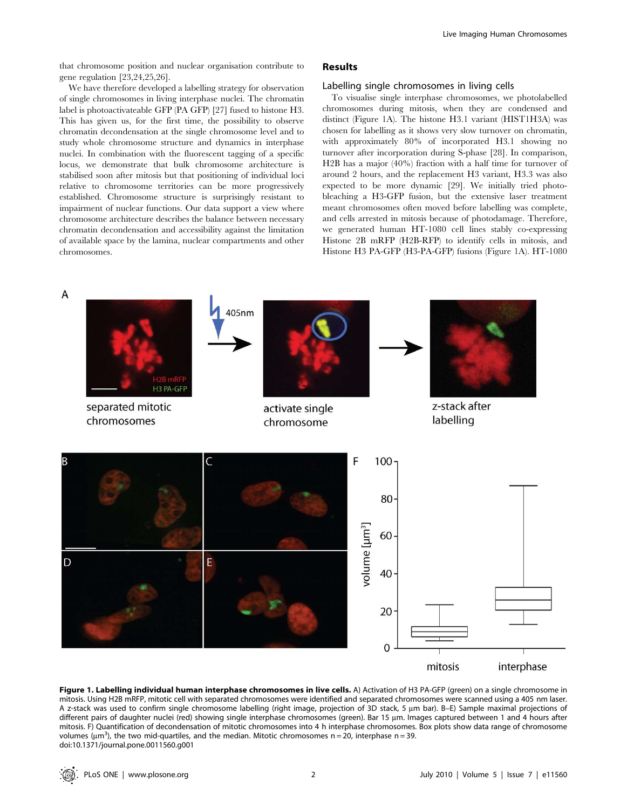that chromosome position and nuclear organisation contribute to gene regulation [23,24,25,26].

# Results

#### Labelling single chromosomes in living cells

We have therefore developed a labelling strategy for observation of single chromosomes in living interphase nuclei. The chromatin label is photoactivateable GFP (PA GFP) [27] fused to histone H3. This has given us, for the first time, the possibility to observe chromatin decondensation at the single chromosome level and to study whole chromosome structure and dynamics in interphase nuclei. In combination with the fluorescent tagging of a specific locus, we demonstrate that bulk chromosome architecture is stabilised soon after mitosis but that positioning of individual loci relative to chromosome territories can be more progressively established. Chromosome structure is surprisingly resistant to impairment of nuclear functions. Our data support a view where chromosome architecture describes the balance between necessary chromatin decondensation and accessibility against the limitation of available space by the lamina, nuclear compartments and other chromosomes.

To visualise single interphase chromosomes, we photolabelled chromosomes during mitosis, when they are condensed and distinct (Figure 1A). The histone H3.1 variant (HIST1H3A) was chosen for labelling as it shows very slow turnover on chromatin, with approximately 80% of incorporated H3.1 showing no turnover after incorporation during S-phase [28]. In comparison, H2B has a major (40%) fraction with a half time for turnover of around 2 hours, and the replacement H3 variant, H3.3 was also expected to be more dynamic [29]. We initially tried photobleaching a H3-GFP fusion, but the extensive laser treatment meant chromosomes often moved before labelling was complete, and cells arrested in mitosis because of photodamage. Therefore, we generated human HT-1080 cell lines stably co-expressing Histone 2B mRFP (H2B-RFP) to identify cells in mitosis, and Histone H3 PA-GFP (H3-PA-GFP) fusions (Figure 1A). HT-1080



Figure 1. Labelling individual human interphase chromosomes in live cells. A) Activation of H3 PA-GFP (green) on a single chromosome in mitosis. Using H2B mRFP, mitotic cell with separated chromosomes were identified and separated chromosomes were scanned using a 405 nm laser. A z-stack was used to confirm single chromosome labelling (right image, projection of 3D stack, 5 µm bar). B–E) Sample maximal projections of different pairs of daughter nuclei (red) showing single interphase chromosomes (green). Bar 15 µm. Images captured between 1 and 4 hours after mitosis. F) Quantification of decondensation of mitotic chromosomes into 4 h interphase chromosomes. Box plots show data range of chromosome volumes ( $\mu$ m<sup>3</sup>), the two mid-quartiles, and the median. Mitotic chromosomes n = 20, interphase n = 39. doi:10.1371/journal.pone.0011560.g001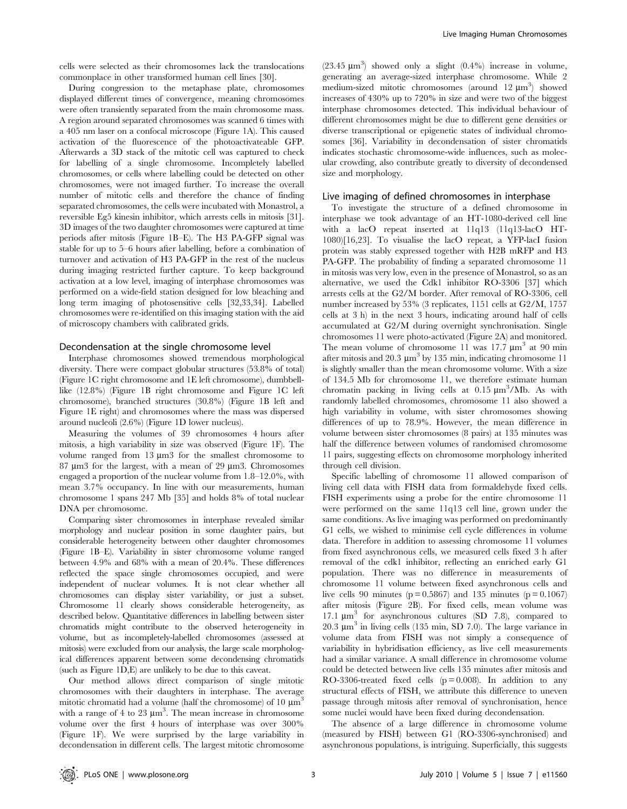cells were selected as their chromosomes lack the translocations commonplace in other transformed human cell lines [30].

During congression to the metaphase plate, chromosomes displayed different times of convergence, meaning chromosomes were often transiently separated from the main chromosome mass. A region around separated chromosomes was scanned 6 times with a 405 nm laser on a confocal microscope (Figure 1A). This caused activation of the fluorescence of the photoactivateable GFP. Afterwards a 3D stack of the mitotic cell was captured to check for labelling of a single chromosome. Incompletely labelled chromosomes, or cells where labelling could be detected on other chromosomes, were not imaged further. To increase the overall number of mitotic cells and therefore the chance of finding separated chromosomes, the cells were incubated with Monastrol, a reversible Eg5 kinesin inhibitor, which arrests cells in mitosis [31]. 3D images of the two daughter chromosomes were captured at time periods after mitosis (Figure 1B–E). The H3 PA-GFP signal was stable for up to 5–6 hours after labelling, before a combination of turnover and activation of H3 PA-GFP in the rest of the nucleus during imaging restricted further capture. To keep background activation at a low level, imaging of interphase chromosomes was performed on a wide-field station designed for low bleaching and long term imaging of photosensitive cells [32,33,34]. Labelled chromosomes were re-identified on this imaging station with the aid of microscopy chambers with calibrated grids.

#### Decondensation at the single chromosome level

Interphase chromosomes showed tremendous morphological diversity. There were compact globular structures (53.8% of total) (Figure 1C right chromosome and 1E left chromosome), dumbbelllike (12.8%) (Figure 1B right chromosome and Figure 1C left chromosome), branched structures (30.8%) (Figure 1B left and Figure 1E right) and chromosomes where the mass was dispersed around nucleoli (2.6%) (Figure 1D lower nucleus).

Measuring the volumes of 39 chromosomes 4 hours after mitosis, a high variability in size was observed (Figure 1F). The volume ranged from  $13 \mu m3$  for the smallest chromosome to  $87 \text{ }\mu\text{m}3$  for the largest, with a mean of 29  $\mu\text{m}3$ . Chromosomes engaged a proportion of the nuclear volume from 1.8–12.0%, with mean 3.7% occupancy. In line with our measurements, human chromosome 1 spans 247 Mb [35] and holds 8% of total nuclear DNA per chromosome.

Comparing sister chromosomes in interphase revealed similar morphology and nuclear position in some daughter pairs, but considerable heterogeneity between other daughter chromosomes (Figure 1B–E). Variability in sister chromosome volume ranged between 4.9% and 68% with a mean of 20.4%. These differences reflected the space single chromosomes occupied, and were independent of nuclear volumes. It is not clear whether all chromosomes can display sister variability, or just a subset. Chromosome 11 clearly shows considerable heterogeneity, as described below. Quantitative differences in labelling between sister chromatids might contribute to the observed heterogeneity in volume, but as incompletely-labelled chromosomes (assessed at mitosis) were excluded from our analysis, the large scale morphological differences apparent between some decondensing chromatids (such as Figure 1D,E) are unlikely to be due to this caveat.

Our method allows direct comparison of single mitotic chromosomes with their daughters in interphase. The average mitotic chromatid had a volume (half the chromosome) of 10  $\mu$ m<sup>3</sup> with a range of 4 to 23  $\mu$ m<sup>3</sup>. The mean increase in chromosome volume over the first 4 hours of interphase was over 300% (Figure 1F). We were surprised by the large variability in decondensation in different cells. The largest mitotic chromosome

(23.45  $\mu$ m<sup>3</sup>) showed only a slight (0.4%) increase in volume, generating an average-sized interphase chromosome. While 2 medium-sized mitotic chromosomes (around  $12 \mu m^3$ ) showed increases of 430% up to 720% in size and were two of the biggest interphase chromosomes detected. This individual behaviour of different chromosomes might be due to different gene densities or diverse transcriptional or epigenetic states of individual chromosomes [36]. Variability in decondensation of sister chromatids indicates stochastic chromosome-wide influences, such as molecular crowding, also contribute greatly to diversity of decondensed size and morphology.

#### Live imaging of defined chromosomes in interphase

To investigate the structure of a defined chromosome in interphase we took advantage of an HT-1080-derived cell line with a lacO repeat inserted at 11q13 (11q13-lacO HT-1080)[16,23]. To visualise the lacO repeat, a YFP-lacI fusion protein was stably expressed together with H2B mRFP and H3 PA-GFP. The probability of finding a separated chromosome 11 in mitosis was very low, even in the presence of Monastrol, so as an alternative, we used the Cdk1 inhibitor RO-3306 [37] which arrests cells at the G2/M border. After removal of RO-3306, cell number increased by 53% (3 replicates, 1151 cells at G2/M, 1757 cells at 3 h) in the next 3 hours, indicating around half of cells accumulated at G2/M during overnight synchronisation. Single chromosomes 11 were photo-activated (Figure 2A) and monitored. The mean volume of chromosome 11 was  $17.7 \mu m^3$  at 90 min after mitosis and 20.3  $\mu$ m<sup>3</sup> by 135 min, indicating chromosome 11 is slightly smaller than the mean chromosome volume. With a size of 134.5 Mb for chromosome 11, we therefore estimate human chromatin packing in living cells at  $0.15 \ \mu \text{m}^3/\text{Mb}$ . As with randomly labelled chromosomes, chromosome 11 also showed a high variability in volume, with sister chromosomes showing differences of up to 78.9%. However, the mean difference in volume between sister chromosomes (8 pairs) at 135 minutes was half the difference between volumes of randomised chromosome 11 pairs, suggesting effects on chromosome morphology inherited through cell division.

Specific labelling of chromosome 11 allowed comparison of living cell data with FISH data from formaldehyde fixed cells. FISH experiments using a probe for the entire chromosome 11 were performed on the same 11q13 cell line, grown under the same conditions. As live imaging was performed on predominantly G1 cells, we wished to minimise cell cycle differences in volume data. Therefore in addition to assessing chromosome 11 volumes from fixed asynchronous cells, we measured cells fixed 3 h after removal of the cdk1 inhibitor, reflecting an enriched early G1 population. There was no difference in measurements of chromosome 11 volume between fixed asynchronous cells and live cells 90 minutes ( $p = 0.5867$ ) and 135 minutes ( $p = 0.1067$ ) after mitosis (Figure 2B). For fixed cells, mean volume was 17.1  $\mu$ m<sup>3</sup> for asynchronous cultures (SD 7.8), compared to  $20.3 \mu m^3$  in living cells (135 min, SD 7.0). The large variance in volume data from FISH was not simply a consequence of variability in hybridisation efficiency, as live cell measurements had a similar variance. A small difference in chromosome volume could be detected between live cells 135 minutes after mitosis and RO-3306-treated fixed cells  $(p = 0.008)$ . In addition to any structural effects of FISH, we attribute this difference to uneven passage through mitosis after removal of synchronisation, hence some nuclei would have been fixed during decondensation.

The absence of a large difference in chromosome volume (measured by FISH) between G1 (RO-3306-synchronised) and asynchronous populations, is intriguing. Superficially, this suggests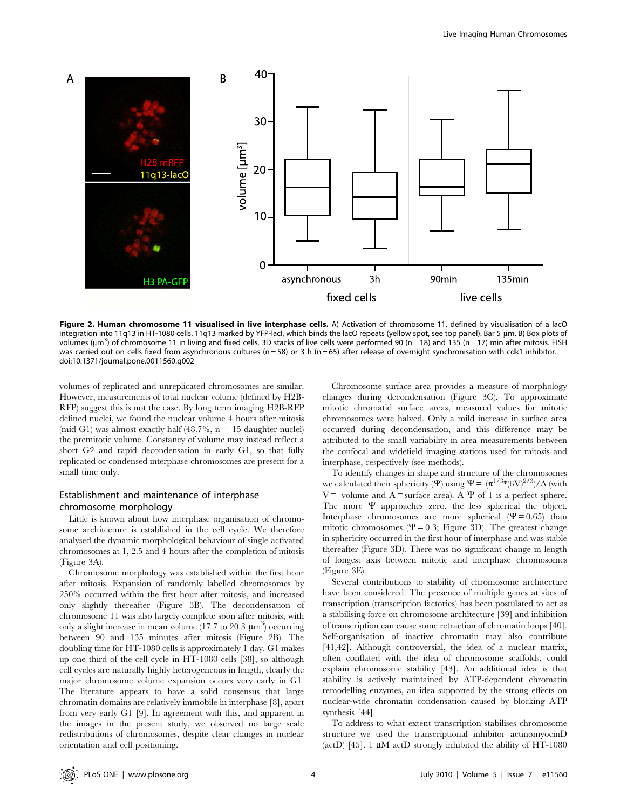

Figure 2. Human chromosome 11 visualised in live interphase cells. A) Activation of chromosome 11, defined by visualisation of a lacO integration into 11q13 in HT-1080 cells. 11q13 marked by YFP-lacl, which binds the lacO repeats (yellow spot, see top panel). Bar 5 µm. B) Box plots of volumes (um<sup>3</sup>) of chromosome 11 in living and fixed cells. 3D stacks of live cells were performed 90 (n = 18) and 135 (n = 17) min after mitosis. FISH was carried out on cells fixed from asynchronous cultures (n = 58) or 3 h (n = 65) after release of overnight synchronisation with cdk1 inhibitor. doi:10.1371/journal.pone.0011560.g002

volumes of replicated and unreplicated chromosomes are similar. However, measurements of total nuclear volume (defined by H2B-RFP) suggest this is not the case. By long term imaging H2B-RFP defined nuclei, we found the nuclear volume 4 hours after mitosis (mid G1) was almost exactly half  $(48.7\% , n = 15$  daughter nuclei) the premitotic volume. Constancy of volume may instead reflect a short G2 and rapid decondensation in early G1, so that fully replicated or condensed interphase chromosomes are present for a small time only.

# Establishment and maintenance of interphase chromosome morphology

Little is known about how interphase organisation of chromosome architecture is established in the cell cycle. We therefore analysed the dynamic morphological behaviour of single activated chromosomes at 1, 2.5 and 4 hours after the completion of mitosis (Figure 3A).

Chromosome morphology was established within the first hour after mitosis. Expansion of randomly labelled chromosomes by 250% occurred within the first hour after mitosis, and increased only slightly thereafter (Figure 3B). The decondensation of chromosome 11 was also largely complete soon after mitosis, with only a slight increase in mean volume (17.7 to 20.3  $\mu$ m<sup>3</sup>) occurring between 90 and 135 minutes after mitosis (Figure 2B). The doubling time for HT-1080 cells is approximately 1 day. G1 makes up one third of the cell cycle in HT-1080 cells [38], so although cell cycles are naturally highly heterogeneous in length, clearly the major chromosome volume expansion occurs very early in G1. The literature appears to have a solid consensus that large chromatin domains are relatively immobile in interphase [8], apart from very early G1 [9]. In agreement with this, and apparent in the images in the present study, we observed no large scale redistributions of chromosomes, despite clear changes in nuclear orientation and cell positioning.

Chromosome surface area provides a measure of morphology changes during decondensation (Figure 3C). To approximate mitotic chromatid surface areas, measured values for mitotic chromosomes were halved. Only a mild increase in surface area occurred during decondensation, and this difference may be attributed to the small variability in area measurements between the confocal and widefield imaging stations used for mitosis and interphase, respectively (see methods).

To identify changes in shape and structure of the chromosomes we calculated their sphericity ( $\Psi$ ) using  $\Psi = (\pi^{1/3} * (6V)^{2/3})/A$  (with V = volume and A = surface area). A  $\Psi$  of 1 is a perfect sphere. The more  $\Psi$  approaches zero, the less spherical the object. Interphase chromosomes are more spherical  $(\Psi = 0.65)$  than mitotic chromosomes ( $\Psi$  = 0.3; Figure 3D). The greatest change in sphericity occurred in the first hour of interphase and was stable thereafter (Figure 3D). There was no significant change in length of longest axis between mitotic and interphase chromosomes (Figure 3E).

Several contributions to stability of chromosome architecture have been considered. The presence of multiple genes at sites of transcription (transcription factories) has been postulated to act as a stabilising force on chromosome architecture [39] and inhibition of transcription can cause some retraction of chromatin loops [40]. Self-organisation of inactive chromatin may also contribute [41,42]. Although controversial, the idea of a nuclear matrix, often conflated with the idea of chromosome scaffolds, could explain chromosome stability [43]. An additional idea is that stability is actively maintained by ATP-dependent chromatin remodelling enzymes, an idea supported by the strong effects on nuclear-wide chromatin condensation caused by blocking ATP synthesis [44].

To address to what extent transcription stabilises chromosome structure we used the transcriptional inhibitor actinomyocinD (actD) [45]. 1  $\mu$ M actD strongly inhibited the ability of HT-1080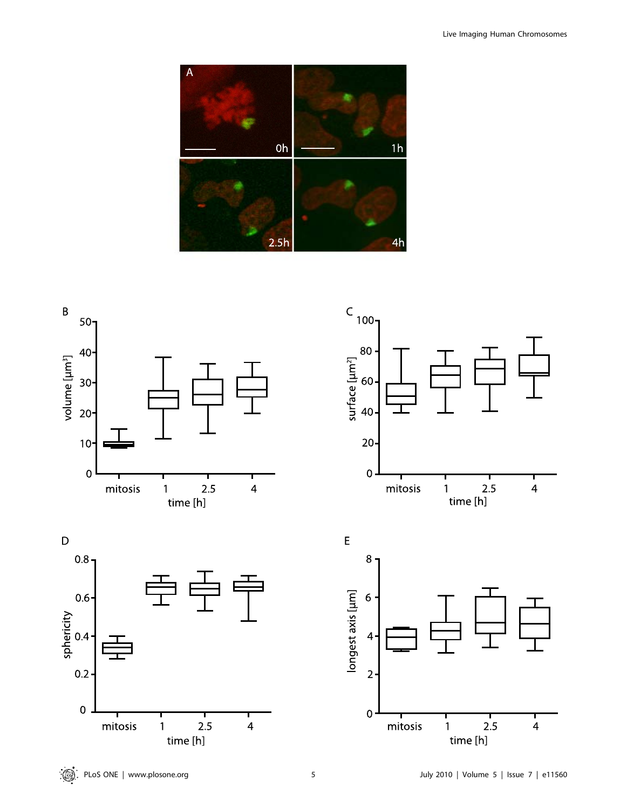







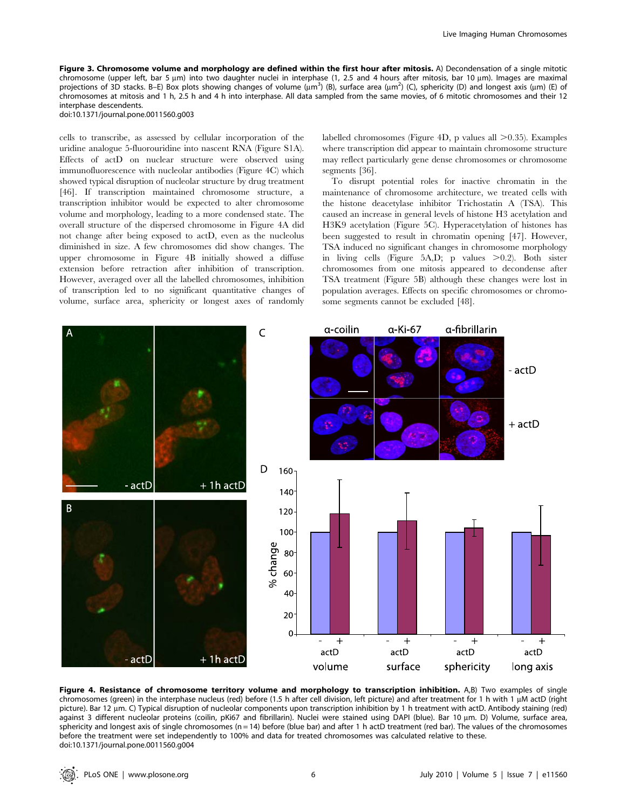Figure 3. Chromosome volume and morphology are defined within the first hour after mitosis. A) Decondensation of a single mitotic chromosome (upper left, bar 5 µm) into two daughter nuclei in interphase (1, 2.5 and 4 hours after mitosis, bar 10 µm). Images are maximal projections of 3D stacks. B–E) Box plots showing changes of volume ( $\mu$ m<sup>3</sup>) (B), surface area ( $\mu$ m<sup>2</sup>) (C), sphericity (D) and longest axis ( $\mu$ m) (E) of chromosomes at mitosis and 1 h, 2.5 h and 4 h into interphase. All data sampled from the same movies, of 6 mitotic chromosomes and their 12 interphase descendents.

doi:10.1371/journal.pone.0011560.g003

cells to transcribe, as assessed by cellular incorporation of the uridine analogue 5-fluorouridine into nascent RNA (Figure S1A). Effects of actD on nuclear structure were observed using immunofluorescence with nucleolar antibodies (Figure 4C) which showed typical disruption of nucleolar structure by drug treatment [46]. If transcription maintained chromosome structure, a transcription inhibitor would be expected to alter chromosome volume and morphology, leading to a more condensed state. The overall structure of the dispersed chromosome in Figure 4A did not change after being exposed to actD, even as the nucleolus diminished in size. A few chromosomes did show changes. The upper chromosome in Figure 4B initially showed a diffuse extension before retraction after inhibition of transcription. However, averaged over all the labelled chromosomes, inhibition of transcription led to no significant quantitative changes of volume, surface area, sphericity or longest axes of randomly

labelled chromosomes (Figure 4D, p values all  $>0.35$ ). Examples where transcription did appear to maintain chromosome structure may reflect particularly gene dense chromosomes or chromosome segments [36].

To disrupt potential roles for inactive chromatin in the maintenance of chromosome architecture, we treated cells with the histone deacetylase inhibitor Trichostatin A (TSA). This caused an increase in general levels of histone H3 acetylation and H3K9 acetylation (Figure 5C). Hyperacetylation of histones has been suggested to result in chromatin opening [47]. However, TSA induced no significant changes in chromosome morphology in living cells (Figure 5A,D; p values  $>0.2$ ). Both sister chromosomes from one mitosis appeared to decondense after TSA treatment (Figure 5B) although these changes were lost in population averages. Effects on specific chromosomes or chromosome segments cannot be excluded [48].



Figure 4. Resistance of chromosome territory volume and morphology to transcription inhibition. A,B) Two examples of single chromosomes (green) in the interphase nucleus (red) before (1.5 h after cell division, left picture) and after treatment for 1 h with 1 µM actD (right picture). Bar 12 µm. C) Typical disruption of nucleolar components upon transcription inhibition by 1 h treatment with actD. Antibody staining (red) against 3 different nucleolar proteins (coilin, pKi67 and fibrillarin). Nuclei were stained using DAPI (blue). Bar 10 µm. D) Volume, surface area, sphericity and longest axis of single chromosomes ( $n = 14$ ) before (blue bar) and after 1 h actD treatment (red bar). The values of the chromosomes before the treatment were set independently to 100% and data for treated chromosomes was calculated relative to these. doi:10.1371/journal.pone.0011560.g004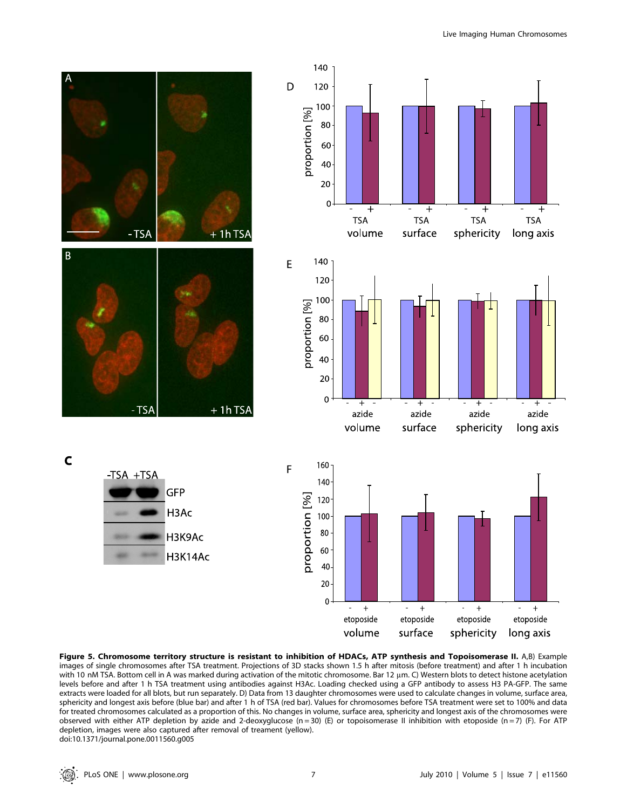

Figure 5. Chromosome territory structure is resistant to inhibition of HDACs, ATP synthesis and Topoisomerase II. A,B) Example images of single chromosomes after TSA treatment. Projections of 3D stacks shown 1.5 h after mitosis (before treatment) and after 1 h incubation with 10 nM TSA. Bottom cell in A was marked during activation of the mitotic chromosome. Bar 12 µm. C) Western blots to detect histone acetylation levels before and after 1 h TSA treatment using antibodies against H3Ac. Loading checked using a GFP antibody to assess H3 PA-GFP. The same extracts were loaded for all blots, but run separately. D) Data from 13 daughter chromosomes were used to calculate changes in volume, surface area, sphericity and longest axis before (blue bar) and after 1 h of TSA (red bar). Values for chromosomes before TSA treatment were set to 100% and data for treated chromosomes calculated as a proportion of this. No changes in volume, surface area, sphericity and longest axis of the chromosomes were observed with either ATP depletion by azide and 2-deoxyglucose (n = 30) (E) or topoisomerase II inhibition with etoposide (n = 7) (F). For ATP depletion, images were also captured after removal of treament (yellow). doi:10.1371/journal.pone.0011560.g005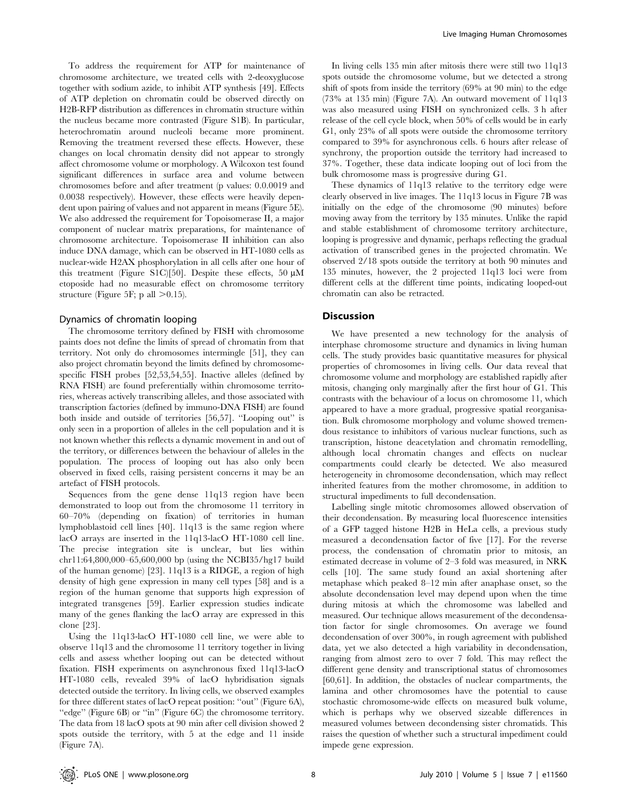To address the requirement for ATP for maintenance of chromosome architecture, we treated cells with 2-deoxyglucose together with sodium azide, to inhibit ATP synthesis [49]. Effects of ATP depletion on chromatin could be observed directly on H2B-RFP distribution as differences in chromatin structure within the nucleus became more contrasted (Figure S1B). In particular, heterochromatin around nucleoli became more prominent. Removing the treatment reversed these effects. However, these changes on local chromatin density did not appear to strongly affect chromosome volume or morphology. A Wilcoxon test found significant differences in surface area and volume between chromosomes before and after treatment (p values: 0.0.0019 and 0.0038 respectively). However, these effects were heavily dependent upon pairing of values and not apparent in means (Figure 5E). We also addressed the requirement for Topoisomerase II, a major component of nuclear matrix preparations, for maintenance of chromosome architecture. Topoisomerase II inhibition can also induce DNA damage, which can be observed in HT-1080 cells as nuclear-wide H2AX phosphorylation in all cells after one hour of this treatment (Figure S1C)[50]. Despite these effects, 50  $\mu$ M etoposide had no measurable effect on chromosome territory structure (Figure 5F; p all  $>0.15$ ).

## Dynamics of chromatin looping

The chromosome territory defined by FISH with chromosome paints does not define the limits of spread of chromatin from that territory. Not only do chromosomes intermingle [51], they can also project chromatin beyond the limits defined by chromosomespecific FISH probes [52,53,54,55]. Inactive alleles (defined by RNA FISH) are found preferentially within chromosome territories, whereas actively transcribing alleles, and those associated with transcription factories (defined by immuno-DNA FISH) are found both inside and outside of territories [56,57]. ''Looping out'' is only seen in a proportion of alleles in the cell population and it is not known whether this reflects a dynamic movement in and out of the territory, or differences between the behaviour of alleles in the population. The process of looping out has also only been observed in fixed cells, raising persistent concerns it may be an artefact of FISH protocols.

Sequences from the gene dense 11q13 region have been demonstrated to loop out from the chromosome 11 territory in 60–70% (depending on fixation) of territories in human lymphoblastoid cell lines [40]. 11q13 is the same region where lacO arrays are inserted in the 11q13-lacO HT-1080 cell line. The precise integration site is unclear, but lies within chr11:64,800,000–65,600,000 bp (using the NCBI35/hg17 build of the human genome) [23]. 11q13 is a RIDGE, a region of high density of high gene expression in many cell types [58] and is a region of the human genome that supports high expression of integrated transgenes [59]. Earlier expression studies indicate many of the genes flanking the lacO array are expressed in this clone [23].

Using the 11q13-lacO HT-1080 cell line, we were able to observe 11q13 and the chromosome 11 territory together in living cells and assess whether looping out can be detected without fixation. FISH experiments on asynchronous fixed 11q13-lacO HT-1080 cells, revealed 39% of lacO hybridisation signals detected outside the territory. In living cells, we observed examples for three different states of lacO repeat position: ''out'' (Figure 6A), "edge" (Figure 6B) or "in" (Figure 6C) the chromosome territory. The data from 18 lacO spots at 90 min after cell division showed 2 spots outside the territory, with 5 at the edge and 11 inside (Figure 7A).

In living cells 135 min after mitosis there were still two 11q13 spots outside the chromosome volume, but we detected a strong shift of spots from inside the territory (69% at 90 min) to the edge (73% at 135 min) (Figure 7A). An outward movement of 11q13 was also measured using FISH on synchronized cells. 3 h after release of the cell cycle block, when 50% of cells would be in early G1, only 23% of all spots were outside the chromosome territory compared to 39% for asynchronous cells. 6 hours after release of synchrony, the proportion outside the territory had increased to 37%. Together, these data indicate looping out of loci from the bulk chromosome mass is progressive during G1.

These dynamics of 11q13 relative to the territory edge were clearly observed in live images. The 11q13 locus in Figure 7B was initially on the edge of the chromosome (90 minutes) before moving away from the territory by 135 minutes. Unlike the rapid and stable establishment of chromosome territory architecture, looping is progressive and dynamic, perhaps reflecting the gradual activation of transcribed genes in the projected chromatin. We observed 2/18 spots outside the territory at both 90 minutes and 135 minutes, however, the 2 projected 11q13 loci were from different cells at the different time points, indicating looped-out chromatin can also be retracted.

# **Discussion**

We have presented a new technology for the analysis of interphase chromosome structure and dynamics in living human cells. The study provides basic quantitative measures for physical properties of chromosomes in living cells. Our data reveal that chromosome volume and morphology are established rapidly after mitosis, changing only marginally after the first hour of G1. This contrasts with the behaviour of a locus on chromosome 11, which appeared to have a more gradual, progressive spatial reorganisation. Bulk chromosome morphology and volume showed tremendous resistance to inhibitors of various nuclear functions, such as transcription, histone deacetylation and chromatin remodelling, although local chromatin changes and effects on nuclear compartments could clearly be detected. We also measured heterogeneity in chromosome decondensation, which may reflect inherited features from the mother chromosome, in addition to structural impediments to full decondensation.

Labelling single mitotic chromosomes allowed observation of their decondensation. By measuring local fluorescence intensities of a GFP tagged histone H2B in HeLa cells, a previous study measured a decondensation factor of five [17]. For the reverse process, the condensation of chromatin prior to mitosis, an estimated decrease in volume of 2–3 fold was measured, in NRK cells [10]. The same study found an axial shortening after metaphase which peaked 8–12 min after anaphase onset, so the absolute decondensation level may depend upon when the time during mitosis at which the chromosome was labelled and measured. Our technique allows measurement of the decondensation factor for single chromosomes. On average we found decondensation of over 300%, in rough agreement with published data, yet we also detected a high variability in decondensation, ranging from almost zero to over 7 fold. This may reflect the different gene density and transcriptional status of chromosomes [60,61]. In addition, the obstacles of nuclear compartments, the lamina and other chromosomes have the potential to cause stochastic chromosome-wide effects on measured bulk volume, which is perhaps why we observed sizeable differences in measured volumes between decondensing sister chromatids. This raises the question of whether such a structural impediment could impede gene expression.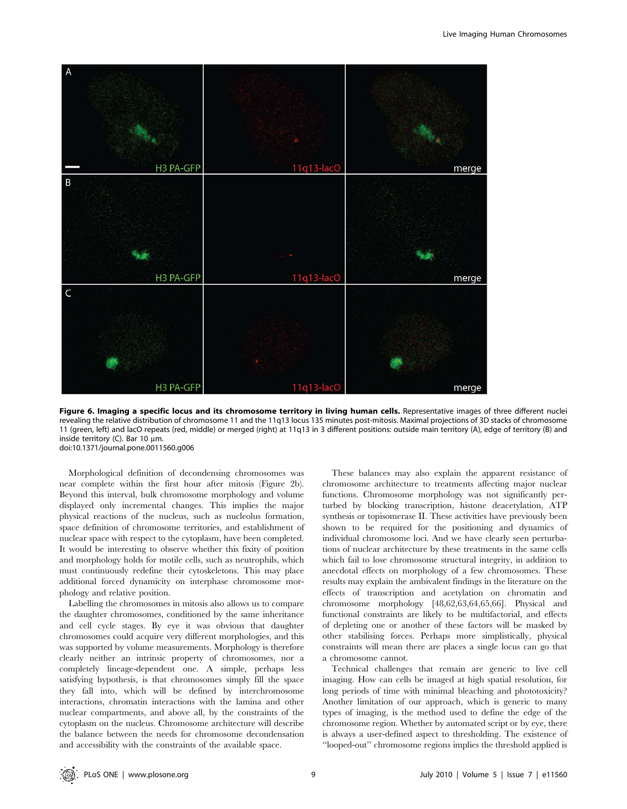

Figure 6. Imaging a specific locus and its chromosome territory in living human cells. Representative images of three different nuclei revealing the relative distribution of chromosome 11 and the 11q13 locus 135 minutes post-mitosis. Maximal projections of 3D stacks of chromosome 11 (green, left) and lacO repeats (red, middle) or merged (right) at 11q13 in 3 different positions: outside main territory (A), edge of territory (B) and inside territory (C). Bar 10  $\mu$ m. doi:10.1371/journal.pone.0011560.g006

Morphological definition of decondensing chromosomes was near complete within the first hour after mitosis (Figure 2b). Beyond this interval, bulk chromosome morphology and volume displayed only incremental changes. This implies the major physical reactions of the nucleus, such as nucleolus formation, space definition of chromosome territories, and establishment of nuclear space with respect to the cytoplasm, have been completed. It would be interesting to observe whether this fixity of position and morphology holds for motile cells, such as neutrophils, which must continuously redefine their cytoskeletons. This may place additional forced dynamicity on interphase chromosome morphology and relative position.

Labelling the chromosomes in mitosis also allows us to compare the daughter chromosomes, conditioned by the same inheritance and cell cycle stages. By eye it was obvious that daughter chromosomes could acquire very different morphologies, and this was supported by volume measurements. Morphology is therefore clearly neither an intrinsic property of chromosomes, nor a completely lineage-dependent one. A simple, perhaps less satisfying hypothesis, is that chromosomes simply fill the space they fall into, which will be defined by interchromosome interactions, chromatin interactions with the lamina and other nuclear compartments, and above all, by the constraints of the cytoplasm on the nucleus. Chromosome architecture will describe the balance between the needs for chromosome decondensation and accessibility with the constraints of the available space.

These balances may also explain the apparent resistance of chromosome architecture to treatments affecting major nuclear functions. Chromosome morphology was not significantly perturbed by blocking transcription, histone deacetylation, ATP synthesis or topisomerase II. These activities have previously been shown to be required for the positioning and dynamics of individual chromosome loci. And we have clearly seen perturbations of nuclear architecture by these treatments in the same cells which fail to lose chromosome structural integrity, in addition to anecdotal effects on morphology of a few chromosomes. These results may explain the ambivalent findings in the literature on the effects of transcription and acetylation on chromatin and chromosome morphology [48,62,63,64,65,66]. Physical and functional constraints are likely to be multifactorial, and effects of depleting one or another of these factors will be masked by other stabilising forces. Perhaps more simplistically, physical constraints will mean there are places a single locus can go that a chromosome cannot.

Technical challenges that remain are generic to live cell imaging. How can cells be imaged at high spatial resolution, for long periods of time with minimal bleaching and phototoxicity? Another limitation of our approach, which is generic to many types of imaging, is the method used to define the edge of the chromosome region. Whether by automated script or by eye, there is always a user-defined aspect to thresholding. The existence of ''looped-out'' chromosome regions implies the threshold applied is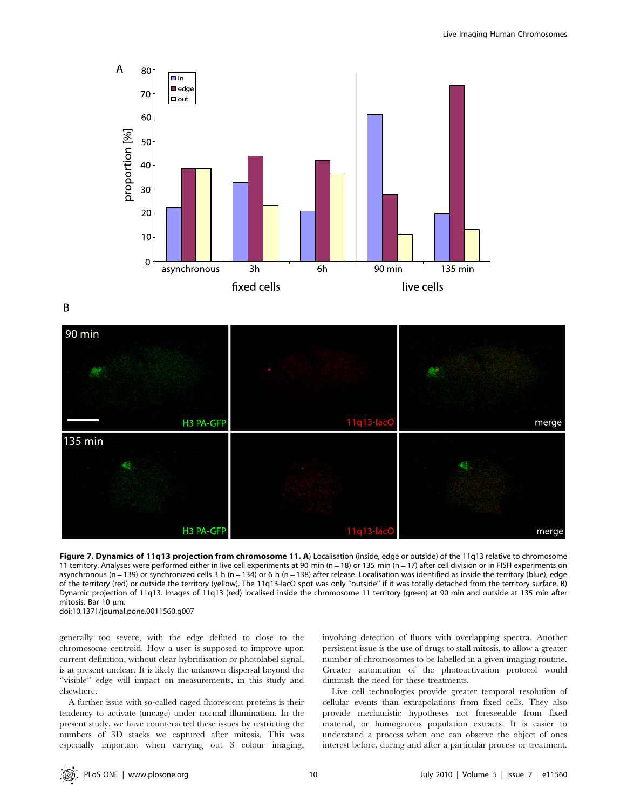

B



Figure 7. Dynamics of 11q13 projection from chromosome 11. A) Localisation (inside, edge or outside) of the 11q13 relative to chromosome 11 territory. Analyses were performed either in live cell experiments at 90 min (n = 18) or 135 min (n = 17) after cell division or in FISH experiments on asynchronous (n = 139) or synchronized cells 3 h (n = 134) or 6 h (n = 138) after release. Localisation was identified as inside the territory (blue), edge of the territory (red) or outside the territory (yellow). The 11q13-lacO spot was only ''outside'' if it was totally detached from the territory surface. B) Dynamic projection of 11q13. Images of 11q13 (red) localised inside the chromosome 11 territory (green) at 90 min and outside at 135 min after mitosis. Bar 10 um. doi:10.1371/journal.pone.0011560.g007

generally too severe, with the edge defined to close to the chromosome centroid. How a user is supposed to improve upon current definition, without clear hybridisation or photolabel signal, is at present unclear. It is likely the unknown dispersal beyond the "visible" edge will impact on measurements, in this study and elsewhere.

A further issue with so-called caged fluorescent proteins is their tendency to activate (uncage) under normal illumination. In the present study, we have counteracted these issues by restricting the numbers of 3D stacks we captured after mitosis. This was especially important when carrying out 3 colour imaging,

involving detection of fluors with overlapping spectra. Another persistent issue is the use of drugs to stall mitosis, to allow a greater number of chromosomes to be labelled in a given imaging routine. Greater automation of the photoactivation protocol would diminish the need for these treatments.

Live cell technologies provide greater temporal resolution of cellular events than extrapolations from fixed cells. They also provide mechanistic hypotheses not foreseeable from fixed material, or homogenous population extracts. It is easier to understand a process when one can observe the object of ones interest before, during and after a particular process or treatment.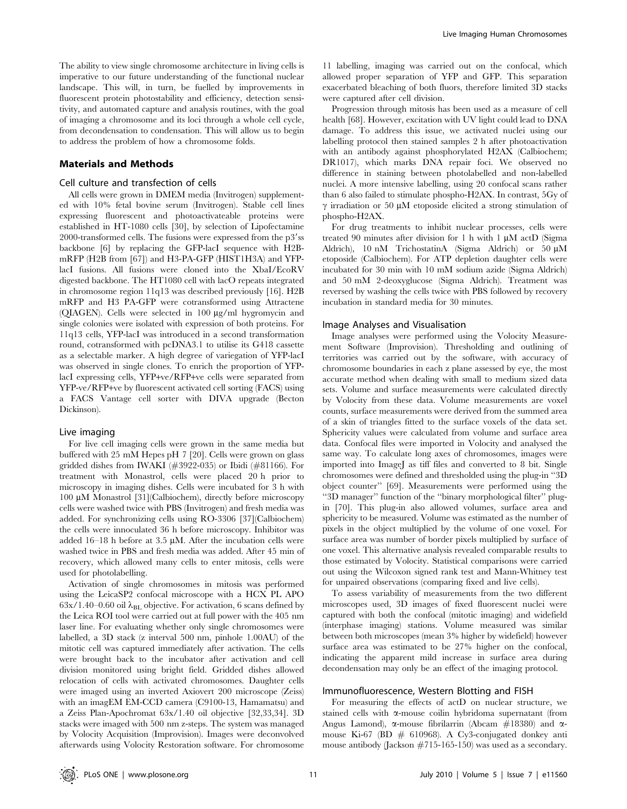The ability to view single chromosome architecture in living cells is imperative to our future understanding of the functional nuclear landscape. This will, in turn, be fuelled by improvements in fluorescent protein photostability and efficiency, detection sensitivity, and automated capture and analysis routines, with the goal of imaging a chromosome and its loci through a whole cell cycle, from decondensation to condensation. This will allow us to begin to address the problem of how a chromosome folds.

### Materials and Methods

## Cell culture and transfection of cells

All cells were grown in DMEM media (Invitrogen) supplemented with 10% fetal bovine serum (Invitrogen). Stable cell lines expressing fluorescent and photoactivateable proteins were established in HT-1080 cells [30], by selection of Lipofectamine  $2000$ -transformed cells. The fusions were expressed from the  $p3\text{'ss}$ backbone [6] by replacing the GFP-lacI sequence with H2BmRFP (H2B from [67]) and H3-PA-GFP (HIST1H3A) and YFPlacI fusions. All fusions were cloned into the XbaI/EcoRV digested backbone. The HT1080 cell with lacO repeats integrated in chromosome region 11q13 was described previously [16]. H2B mRFP and H3 PA-GFP were cotransformed using Attractene (QIAGEN). Cells were selected in 100 mg/ml hygromycin and single colonies were isolated with expression of both proteins. For 11q13 cells, YFP-lacI was introduced in a second transformation round, cotransformed with pcDNA3.1 to utilise its G418 cassette as a selectable marker. A high degree of variegation of YFP-lacI was observed in single clones. To enrich the proportion of YFPlacI expressing cells, YFP+ve/RFP+ve cells were separated from YFP-ve/RFP+ve by fluorescent activated cell sorting (FACS) using a FACS Vantage cell sorter with DIVA upgrade (Becton Dickinson).

#### Live imaging

For live cell imaging cells were grown in the same media but buffered with 25 mM Hepes pH 7 [20]. Cells were grown on glass gridded dishes from IWAKI  $(\#3922-035)$  or Ibidi  $(\#81166)$ . For treatment with Monastrol, cells were placed 20 h prior to microscopy in imaging dishes. Cells were incubated for 3 h with 100  $\mu$ M Monastrol [31](Calbiochem), directly before microscopy cells were washed twice with PBS (Invitrogen) and fresh media was added. For synchronizing cells using RO-3306 [37](Calbiochem) the cells were innoculated 36 h before microscopy. Inhibitor was added 16–18 h before at 3.5  $\mu$ M. After the incubation cells were washed twice in PBS and fresh media was added. After 45 min of recovery, which allowed many cells to enter mitosis, cells were used for photolabelling.

Activation of single chromosomes in mitosis was performed using the LeicaSP2 confocal microscope with a HCX PL APO  $63x/1.40-0.60$  oil  $\lambda_{BL}$  objective. For activation, 6 scans defined by the Leica ROI tool were carried out at full power with the 405 nm laser line. For evaluating whether only single chromosomes were labelled, a 3D stack (z interval 500 nm, pinhole 1.00AU) of the mitotic cell was captured immediately after activation. The cells were brought back to the incubator after activation and cell division monitored using bright field. Gridded dishes allowed relocation of cells with activated chromosomes. Daughter cells were imaged using an inverted Axiovert 200 microscope (Zeiss) with an imagEM EM-CCD camera (C9100-13, Hamamatsu) and a Zeiss Plan-Apochromat 63x/1.40 oil objective [32,33,34]. 3D stacks were imaged with 500 nm z-steps. The system was managed by Volocity Acquisition (Improvision). Images were deconvolved afterwards using Volocity Restoration software. For chromosome

11 labelling, imaging was carried out on the confocal, which allowed proper separation of YFP and GFP. This separation exacerbated bleaching of both fluors, therefore limited 3D stacks were captured after cell division.

Progression through mitosis has been used as a measure of cell health [68]. However, excitation with UV light could lead to DNA damage. To address this issue, we activated nuclei using our labelling protocol then stained samples 2 h after photoactivation with an antibody against phosphorylated H2AX (Calbiochem; DR1017), which marks DNA repair foci. We observed no difference in staining between photolabelled and non-labelled nuclei. A more intensive labelling, using 20 confocal scans rather than 6 also failed to stimulate phospho-H2AX. In contrast, 5Gy of  $\gamma$  irradiation or 50  $\mu$ M etoposide elicited a strong stimulation of phospho-H2AX.

For drug treatments to inhibit nuclear processes, cells were treated 90 minutes after division for 1 h with 1  $\mu$ M actD (Sigma Aldrich), 10 nM TrichostatinA (Sigma Aldrich) or 50  $\mu$ M etoposide (Calbiochem). For ATP depletion daughter cells were incubated for 30 min with 10 mM sodium azide (Sigma Aldrich) and 50 mM 2-deoxyglucose (Sigma Aldrich). Treatment was reversed by washing the cells twice with PBS followed by recovery incubation in standard media for 30 minutes.

#### Image Analyses and Visualisation

Image analyses were performed using the Volocity Measurement Software (Improvision). Thresholding and outlining of territories was carried out by the software, with accuracy of chromosome boundaries in each z plane assessed by eye, the most accurate method when dealing with small to medium sized data sets. Volume and surface measurements were calculated directly by Volocity from these data. Volume measurements are voxel counts, surface measurements were derived from the summed area of a skin of triangles fitted to the surface voxels of the data set. Sphericity values were calculated from volume and surface area data. Confocal files were imported in Volocity and analysed the same way. To calculate long axes of chromosomes, images were imported into ImageJ as tiff files and converted to 8 bit. Single chromosomes were defined and thresholded using the plug-in ''3D object counter'' [69]. Measurements were performed using the ''3D manager'' function of the ''binary morphological filter'' plugin [70]. This plug-in also allowed volumes, surface area and sphericity to be measured. Volume was estimated as the number of pixels in the object multiplied by the volume of one voxel. For surface area was number of border pixels multiplied by surface of one voxel. This alternative analysis revealed comparable results to those estimated by Volocity. Statistical comparisons were carried out using the Wilcoxon signed rank test and Mann-Whitney test for unpaired observations (comparing fixed and live cells).

To assess variability of measurements from the two different microscopes used, 3D images of fixed fluorescent nuclei were captured with both the confocal (mitotic imaging) and widefield (interphase imaging) stations. Volume measured was similar between both microscopes (mean 3% higher by widefield) however surface area was estimated to be 27% higher on the confocal, indicating the apparent mild increase in surface area during decondensation may only be an effect of the imaging protocol.

## Immunofluorescence, Western Blotting and FISH

For measuring the effects of actD on nuclear structure, we stained cells with a-mouse coilin hybridoma supernatant (from Angus Lamond),  $\alpha$ -mouse fibrilarrin (Abcam #18380) and  $\alpha$ mouse Ki-67 (BD  $\#$  610968). A Cy3-conjugated donkey anti mouse antibody (Jackson #715-165-150) was used as a secondary.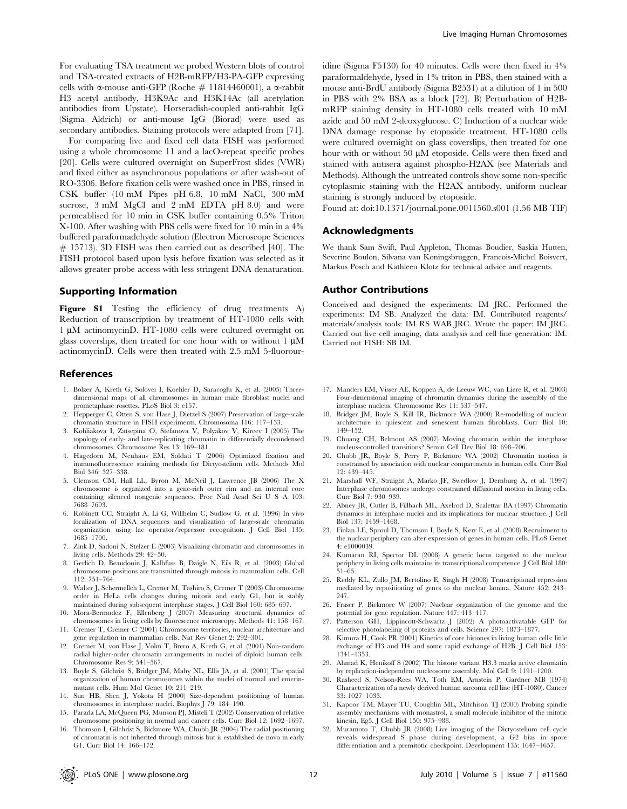For evaluating TSA treatment we probed Western blots of control and TSA-treated extracts of H2B-mRFP/H3-PA-GFP expressing cells with  $\alpha$ -mouse anti-GFP (Roche # 11814460001), a  $\alpha$ -rabbit H3 acetyl antibody, H3K9Ac and H3K14Ac (all acetylation antibodies from Upstate). Horseradish-coupled anti-rabbit IgG (Sigma Aldrich) or anti-mouse IgG (Biorad) were used as secondary antibodies. Staining protocols were adapted from [71].

For comparing live and fixed cell data FISH was performed using a whole chromosome 11 and a lacO-repeat specific probes [20]. Cells were cultured overnight on SuperFrost slides (VWR) and fixed either as asynchronous populations or after wash-out of RO-3306. Before fixation cells were washed once in PBS, rinsed in CSK buffer (10 mM Pipes pH 6.8, 10 mM NaCl, 300 mM sucrose, 3 mM MgCl and 2 mM EDTA pH 8.0) and were permeablised for 10 min in CSK buffer containing 0.5% Triton X-100. After washing with PBS cells were fixed for 10 min in a 4% buffered paraformadehyde solution (Electron Microscope Sciences  $\#$  15713). 3D FISH was then carried out as described [40]. The FISH protocol based upon lysis before fixation was selected as it allows greater probe access with less stringent DNA denaturation.

# Supporting Information

Figure S1 Testing the efficiency of drug treatments A) Reduction of transcription by treatment of HT-1080 cells with  $1 \mu M$  actinomycinD. HT-1080 cells were cultured overnight on glass coverslips, then treated for one hour with or without  $1 \mu M$ actinomycinD. Cells were then treated with 2.5 mM 5-fluorour-

#### References

- 1. Bolzer A, Kreth G, Solovei I, Koehler D, Saracoglu K, et al. (2005) Threedimensional maps of all chromosomes in human male fibroblast nuclei and prometaphase rosettes. PLoS Biol 3: e157.
- 2. Hepperger C, Otten S, von Hase J, Dietzel S (2007) Preservation of large-scale chromatin structure in FISH experiments. Chromosoma 116: 117–133.
- 3. Kobliakova I, Zatsepina O, Stefanova V, Polyakov V, Kireev I (2005) The topology of early- and late-replicating chromatin in differentially decondensed chromosomes. Chromosome Res 13: 169–181.
- 4. Hagedorn M, Neuhaus EM, Soldati T (2006) Optimized fixation and immunofluorescence staining methods for Dictyostelium cells. Methods Mol Biol 346: 327–338.
- 5. Clemson CM, Hall LL, Byron M, McNeil J, Lawrence JB (2006) The X chromosome is organized into a gene-rich outer rim and an internal core containing silenced nongenic sequences. Proc Natl Acad Sci U S A 103: 7688–7693.
- 6. Robinett CC, Straight A, Li G, Willhelm C, Sudlow G, et al. (1996) In vivo localization of DNA sequences and visualization of large-scale chromatin organization using lac operator/repressor recognition. J Cell Biol 135: 1685–1700.
- 7. Zink D, Sadoni N, Stelzer E (2003) Visualizing chromatin and chromosomes in living cells. Methods 29: 42–50.
- 8. Gerlich D, Beaudouin J, Kalbfuss B, Daigle N, Eils R, et al. (2003) Global chromosome positions are transmitted through mitosis in mammalian cells. Cell 112: 751–764.
- 9. Walter J, Schermelleh L, Cremer M, Tashiro S, Cremer T (2003) Chromosome order in HeLa cells changes during mitosis and early G1, but is stably maintained during subsequent interphase stages. J Cell Biol 160: 685–697.
- 10. Mora-Bermudez F, Ellenberg J (2007) Measuring structural dynamics of chromosomes in living cells by fluorescence microscopy. Methods 41: 158–167.
- 11. Cremer T, Cremer C (2001) Chromosome territories, nuclear architecture and gene regulation in mammalian cells. Nat Rev Genet 2: 292–301.
- 12. Cremer M, von Hase J, Volm T, Brero A, Kreth G, et al. (2001) Non-random radial higher-order chromatin arrangements in nuclei of diploid human cells. Chromosome Res 9: 541–567.
- 13. Boyle S, Gilchrist S, Bridger JM, Mahy NL, Ellis JA, et al. (2001) The spatial organization of human chromosomes within the nuclei of normal and emerinmutant cells. Hum Mol Genet 10: 211–219.
- 14. Sun HB, Shen J, Yokota H (2000) Size-dependent positioning of human chromosomes in interphase nuclei. Biophys J 79: 184–190.
- 15. Parada LA, McQueen PG, Munson PJ, Misteli T (2002) Conservation of relative chromosome positioning in normal and cancer cells. Curr Biol 12: 1692–1697.
- 16. Thomson I, Gilchrist S, Bickmore WA, Chubb JR (2004) The radial positioning of chromatin is not inherited through mitosis but is established de novo in early G1. Curr Biol 14: 166–172.

idine (Sigma F5130) for 40 minutes. Cells were then fixed in 4% paraformaldehyde, lysed in 1% triton in PBS, then stained with a mouse anti-BrdU antibody (Sigma B2531) at a dilution of 1 in 500 in PBS with 2% BSA as a block [72]. B) Perturbation of H2BmRFP staining density in HT-1080 cells treated with 10 mM azide and 50 mM 2-deoxyglucose. C) Induction of a nuclear wide DNA damage response by etoposide treatment. HT-1080 cells were cultured overnight on glass coverslips, then treated for one hour with or without 50  $\mu$ M etoposide. Cells were then fixed and stained with antisera against phospho-H2AX (see Materials and Methods). Although the untreated controls show some non-specific cytoplasmic staining with the H2AX antibody, uniform nuclear staining is strongly induced by etoposide.

Found at: doi:10.1371/journal.pone.0011560.s001 (1.56 MB TIF)

#### Acknowledgments

We thank Sam Swift, Paul Appleton, Thomas Boudier, Saskia Hutten, Severine Boulon, Silvana van Koningsbruggen, Francois-Michel Boisvert, Markus Posch and Kathleen Klotz for technical advice and reagents.

# Author Contributions

Conceived and designed the experiments: IM JRC. Performed the experiments: IM SB. Analyzed the data: IM. Contributed reagents/ materials/analysis tools: IM RS WAB JRC. Wrote the paper: IM JRC. Carried out live cell imaging, data analysis and cell line generation: IM. Carried out FISH: SB IM.

- 17. Manders EM, Visser AE, Koppen A, de Leeuw WC, van Liere R, et al. (2003) Four-dimensional imaging of chromatin dynamics during the assembly of the interphase nucleus. Chromosome Res 11: 537–547.
- 18. Bridger JM, Boyle S, Kill IR, Bickmore WA (2000) Re-modelling of nuclear architecture in quiescent and senescent human fibroblasts. Curr Biol 10: 149–152.
- 19. Chuang CH, Belmont AS (2007) Moving chromatin within the interphase nucleus-controlled transitions? Semin Cell Dev Biol 18: 698–706.
- 20. Chubb JR, Boyle S, Perry P, Bickmore WA (2002) Chromatin motion is constrained by association with nuclear compartments in human cells. Curr Biol 12: 439–445.
- 21. Marshall WF, Straight A, Marko JF, Swedlow J, Dernburg A, et al. (1997) Interphase chromosomes undergo constrained diffusional motion in living cells. Curr Biol 7: 930–939.
- 22. Abney JR, Cutler B, Fillbach ML, Axelrod D, Scalettar BA (1997) Chromatin dynamics in interphase nuclei and its implications for nuclear structure. J Cell Biol 137: 1459–1468.
- 23. Finlan LE, Sproul D, Thomson I, Boyle S, Kerr E, et al. (2008) Recruitment to the nuclear periphery can alter expression of genes in human cells. PLoS Genet 4: e1000039.
- 24. Kumaran RI, Spector DL (2008) A genetic locus targeted to the nuclear periphery in living cells maintains its transcriptional competence. J Cell Biol 180: 51–65.
- 25. Reddy KL, Zullo JM, Bertolino E, Singh H (2008) Transcriptional repression mediated by repositioning of genes to the nuclear lamina. Nature 452: 243– 247.
- 26. Fraser P, Bickmore W (2007) Nuclear organization of the genome and the potential for gene regulation. Nature 447: 413–417.
- 27. Patterson GH, Lippincott-Schwartz J (2002) A photoactivatable GFP for selective photolabeling of proteins and cells. Science 297: 1873–1877.
- 28. Kimura H, Cook PR (2001) Kinetics of core histones in living human cells: little exchange of H3 and H4 and some rapid exchange of H2B. J Cell Biol 153: 1341–1353.
- 29. Ahmad K, Henikoff S (2002) The histone variant H3.3 marks active chromatin by replication-independent nucleosome assembly. Mol Cell 9: 1191–1200.
- 30. Rasheed S, Nelson-Rees WA, Toth EM, Arnstein P, Gardner MB (1974) Characterization of a newly derived human sarcoma cell line (HT-1080). Cancer 33: 1027–1033.
- 31. Kapoor TM, Mayer TU, Coughlin ML, Mitchison TJ (2000) Probing spindle assembly mechanisms with monastrol, a small molecule inhibitor of the mitotic kinesin, Eg5. J Cell Biol 150: 975–988.
- 32. Muramoto T, Chubb JR (2008) Live imaging of the Dictyostelium cell cycle reveals widespread S phase during development, a G2 bias in spore differentiation and a premitotic checkpoint. Development 135: 1647–1657.